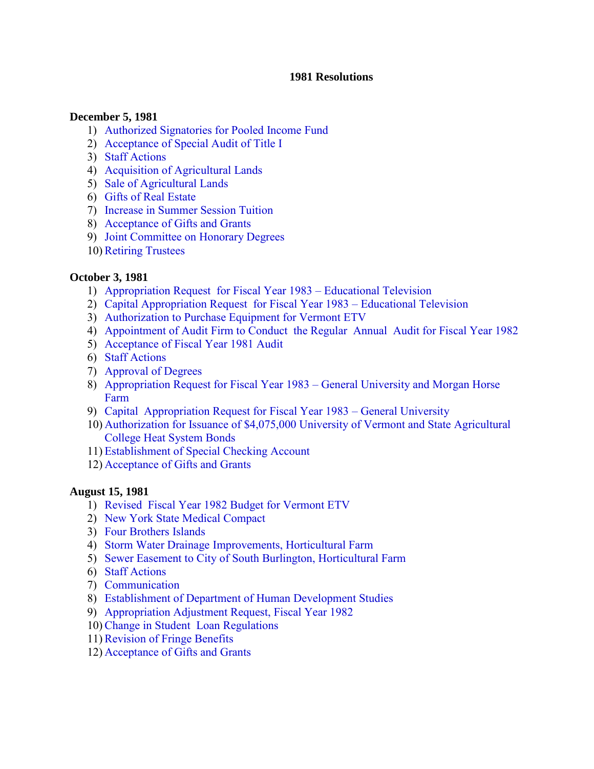#### **1981 Resolutions**

#### **December 5, 1981**

- 1) [Authorized Signatories for Pooled Income Fund](#page-3-0)
- 2) [Acceptance of Special Audit of Title I](#page-3-0)
- 3) [Staff Actions](#page-3-0)
- 4) [Acquisition of Agricultural Lands](#page-3-0)
- 5) [Sale of Agricultural Lands](#page-4-0)
- 6) [Gifts of Real Estate](#page-4-0)
- 7) [Increase in Summer Session Tuition](#page-4-0)
- 8) [Acceptance of Gifts and Grants](#page-5-0)
- 9) [Joint Committee on Honorary Degrees](#page-5-0)
- 10)[Retiring Trustees](#page-5-0)

#### **October 3, 1981**

- 1) [Appropriation Request for Fiscal Year 1983 Educational Television](#page-6-0)
- 2) [Capital Appropriation Request for Fiscal Year 1983 Educational Television](#page-6-0)
- 3) [Authorization to Purchase Equipment for Vermont ETV](#page-6-0)
- 4) [Appointment of Audit Firm to Conduct the Regular Annual Audit for Fiscal Year 1982](#page-7-0)
- 5) [Acceptance of Fiscal Year 1981 Audit](#page-7-0)
- 6) [Staff Actions](#page-7-0)
- 7) [Approval of Degrees](#page-7-0)
- 8) [Appropriation Request for Fiscal Year 1983 General University and Morgan Horse](#page-7-0) Farm
- 9) [Capital Appropriation Request for Fiscal Year 1983 General University](#page-8-0)
- 10) [Authorization for Issuance of \\$4,075,000 University of Vermont and State Agricultural](#page-8-0) College Heat System Bonds
- 11) [Establishment of Special Checking Account](#page-9-0)
- 12) [Acceptance of Gifts and Grants](#page-9-0)

#### **August 15, 1981**

- 1) [Revised Fiscal Year 1982 Budget for Vermont ETV](#page-10-0)
- 2) [New York State Medical Compact](#page-10-0)
- 3) [Four Brothers Islands](#page-10-0)
- 4) [Storm Water Drainage Improvements, Horticultural Farm](#page-11-0)
- 5) [Sewer Easement to City of South Burlington, Horticultural Farm](#page-11-0)
- 6) [Staff Actions](#page-11-0)
- 7) [Communication](#page-11-0)
- 8) [Establishment of Department of Human Development Studies](#page-12-0)
- 9) [Appropriation Adjustment Request, Fiscal Year 1982](#page-12-0)
- 10[\)Change in Student Loan Regulations](#page-12-0)
- 11)[Revision of Fringe Benefits](#page-13-0)
- 12) [Acceptance of Gifts and Grants](#page-13-0)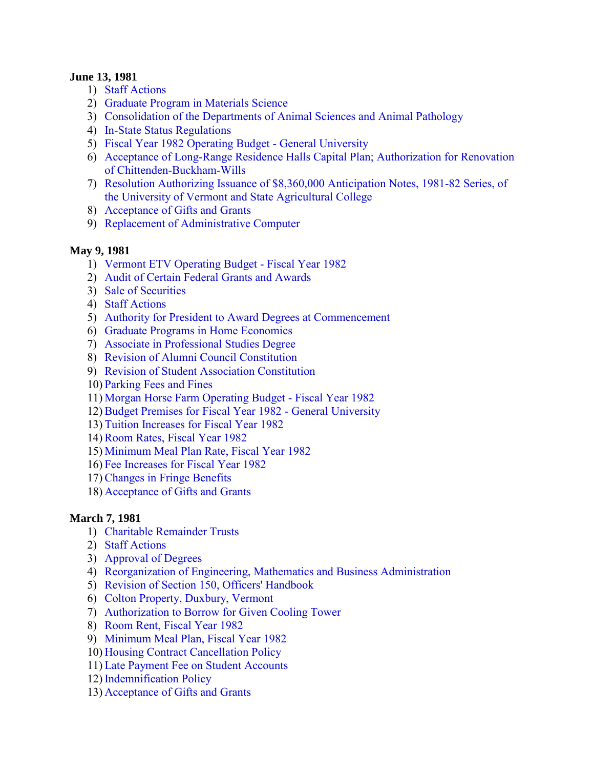#### **June 13, 1981**

- 1) [Staff Actions](#page-14-0)
- 2) [Graduate Program in Materials Science](#page-14-0)
- 3) [Consolidation of the Departments of Animal Sciences and Animal Pathology](#page-14-0)
- 4) [In-State Status Regulations](#page-14-0)
- 5) [Fiscal Year 1982 Operating Budget General University](#page-14-0)
- 6) [Acceptance of Long-Range Residence Halls Capital Plan; Authorization for Renovation](#page-14-0)  of Chittenden-Buckham-Wills
- 7) [Resolution Authorizing Issuance of \\$8,360,000 Anticipation Notes, 1981-82 Series, of](#page-15-0)  the University of Vermont and State Agricultural College
- 8) [Acceptance of Gifts and Grants](#page-15-0)
- 9) [Replacement of Administrative Computer](#page-15-0)

# **May 9, 1981**

- 1) [Vermont ETV Operating Budget Fiscal Year 1982](#page-16-0)
- 2) [Audit of Certain Federal Grants and Awards](#page-16-0)
- 3) [Sale of Securities](#page-16-0)
- 4) [Staff Actions](#page-16-0)
- 5) [Authority for President to Award Degrees at Commencement](#page-17-0)
- 6) [Graduate Programs in Home Economics](#page-17-0)
- 7) [Associate in Professional Studies Degree](#page-17-0)
- 8) [Revision of Alumni Council Constitution](#page-17-0)
- 9) [Revision of Student Association Constitution](#page-17-0)
- 10) [Parking Fees and Fines](#page-18-0)
- 11) [Morgan Horse Farm Operating Budget Fiscal Year 1982](#page-18-0)
- 12)[Budget Premises for Fiscal Year 1982 General University](#page-18-0)
- 13) [Tuition Increases for Fiscal Year 1982](#page-18-0)
- 14)[Room Rates, Fiscal Year 1982](#page-19-0)
- 15) [Minimum Meal Plan Rate, Fiscal Year 1982](#page-19-0)
- 16) [Fee Increases for Fiscal Year 1982](#page-19-0)
- 17)[Changes in Fringe Benefits](#page-19-0)
- 18) [Acceptance of Gifts and Grants](#page-19-0)

## **March 7, 1981**

- 1) [Charitable Remainder Trusts](#page-20-0)
- 2) [Staff Actions](#page-20-0)
- 3) [Approval of Degrees](#page-20-0)
- 4) [Reorganization of Engineering, Mathematics and Business Administration](#page-20-0)
- 5) [Revision of Section 150, Officers' Handbook](#page-20-0)
- 6) [Colton Property, Duxbury, Vermont](#page-21-0)
- 7) [Authorization to Borrow for Given Cooling Tower](#page-21-0)
- 8) [Room Rent, Fiscal Year 1982](#page-22-0)
- 9) [Minimum Meal Plan, Fiscal Year 1982](#page-22-0)
- 10) [Housing Contract Cancellation Policy](#page-22-0)
- 11) [Late Payment Fee on Student Accounts](#page-22-0)
- 12) [Indemnification Policy](#page-22-0)
- 13) [Acceptance of Gifts and Grants](#page-22-0)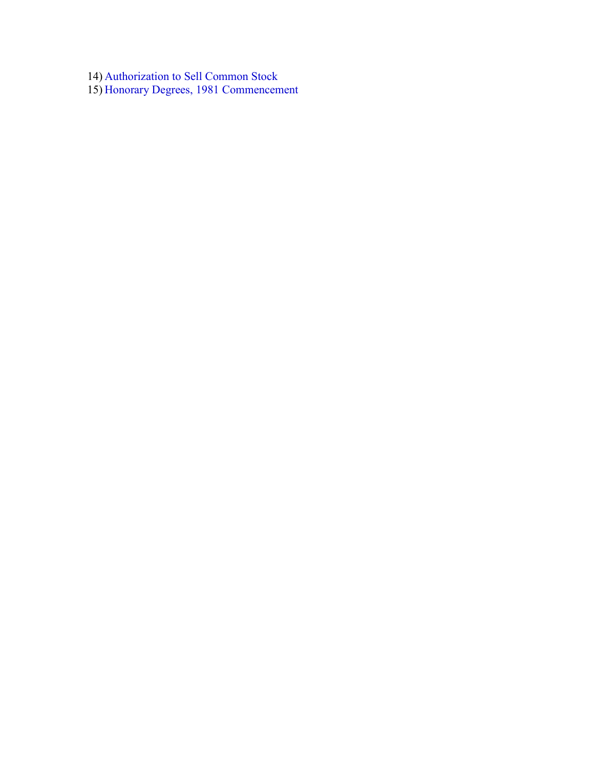14) [Authorization to Sell Common Stock](#page-22-0) 

15) [Honorary Degrees, 1981 Commencement](#page-23-0)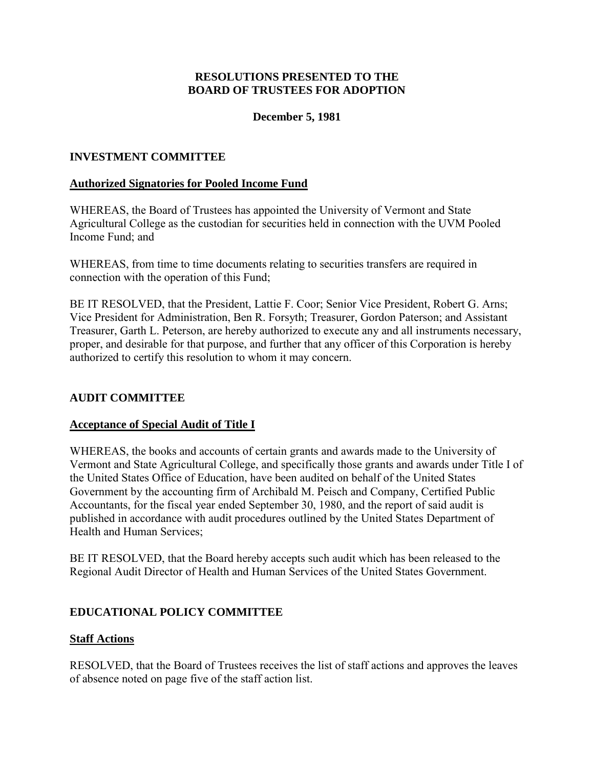#### **December 5, 1981**

#### <span id="page-3-0"></span>**INVESTMENT COMMITTEE**

#### **Authorized Signatories for Pooled Income Fund**

WHEREAS, the Board of Trustees has appointed the University of Vermont and State Agricultural College as the custodian for securities held in connection with the UVM Pooled Income Fund; and

WHEREAS, from time to time documents relating to securities transfers are required in connection with the operation of this Fund;

BE IT RESOLVED, that the President, Lattie F. Coor; Senior Vice President, Robert G. Arns; Vice President for Administration, Ben R. Forsyth; Treasurer, Gordon Paterson; and Assistant Treasurer, Garth L. Peterson, are hereby authorized to execute any and all instruments necessary, proper, and desirable for that purpose, and further that any officer of this Corporation is hereby authorized to certify this resolution to whom it may concern.

#### **AUDIT COMMITTEE**

#### **Acceptance of Special Audit of Title I**

WHEREAS, the books and accounts of certain grants and awards made to the University of Vermont and State Agricultural College, and specifically those grants and awards under Title I of the United States Office of Education, have been audited on behalf of the United States Government by the accounting firm of Archibald M. Peisch and Company, Certified Public Accountants, for the fiscal year ended September 30, 1980, and the report of said audit is published in accordance with audit procedures outlined by the United States Department of Health and Human Services;

BE IT RESOLVED, that the Board hereby accepts such audit which has been released to the Regional Audit Director of Health and Human Services of the United States Government.

#### **EDUCATIONAL POLICY COMMITTEE**

#### **Staff Actions**

RESOLVED, that the Board of Trustees receives the list of staff actions and approves the leaves of absence noted on page five of the staff action list.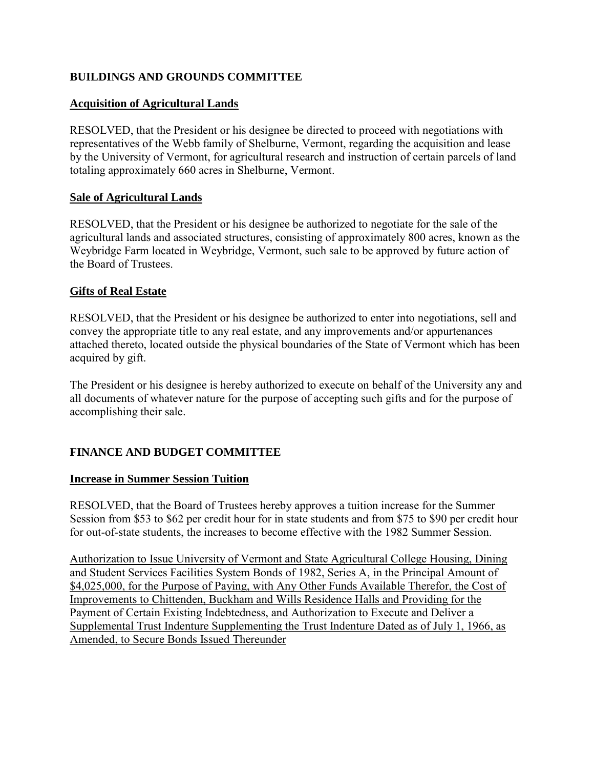# <span id="page-4-0"></span>**BUILDINGS AND GROUNDS COMMITTEE**

## **Acquisition of Agricultural Lands**

RESOLVED, that the President or his designee be directed to proceed with negotiations with representatives of the Webb family of Shelburne, Vermont, regarding the acquisition and lease by the University of Vermont, for agricultural research and instruction of certain parcels of land totaling approximately 660 acres in Shelburne, Vermont.

## **Sale of Agricultural Lands**

RESOLVED, that the President or his designee be authorized to negotiate for the sale of the agricultural lands and associated structures, consisting of approximately 800 acres, known as the Weybridge Farm located in Weybridge, Vermont, such sale to be approved by future action of the Board of Trustees.

#### **Gifts of Real Estate**

RESOLVED, that the President or his designee be authorized to enter into negotiations, sell and convey the appropriate title to any real estate, and any improvements and/or appurtenances attached thereto, located outside the physical boundaries of the State of Vermont which has been acquired by gift.

The President or his designee is hereby authorized to execute on behalf of the University any and all documents of whatever nature for the purpose of accepting such gifts and for the purpose of accomplishing their sale.

## **FINANCE AND BUDGET COMMITTEE**

#### **Increase in Summer Session Tuition**

RESOLVED, that the Board of Trustees hereby approves a tuition increase for the Summer Session from \$53 to \$62 per credit hour for in state students and from \$75 to \$90 per credit hour for out-of-state students, the increases to become effective with the 1982 Summer Session.

Authorization to Issue University of Vermont and State Agricultural College Housing, Dining and Student Services Facilities System Bonds of 1982, Series A, in the Principal Amount of \$4,025,000, for the Purpose of Paying, with Any Other Funds Available Therefor, the Cost of Improvements to Chittenden, Buckham and Wills Residence Halls and Providing for the Payment of Certain Existing Indebtedness, and Authorization to Execute and Deliver a Supplemental Trust Indenture Supplementing the Trust Indenture Dated as of July 1, 1966, as Amended, to Secure Bonds Issued Thereunder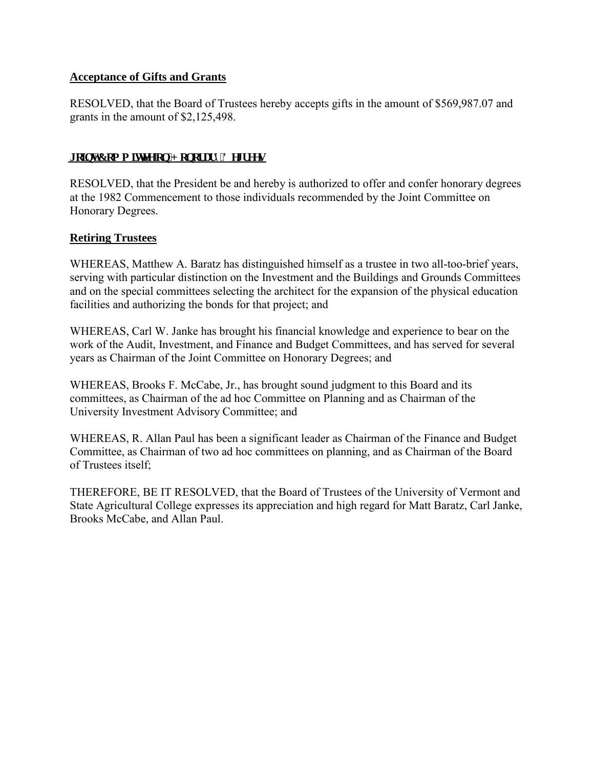#### <span id="page-5-0"></span>**Acceptance of Gifts and Grants**

RESOLVED, that the Board of Trustees hereby accepts gifts in the amount of \$569,987.07 and grants in the amount of \$2,125,498.

#### **Jakov'Ego o kwgg'gp'J gpgt ct { 'F gi t ggu**

RESOLVED, that the President be and hereby is authorized to offer and confer honorary degrees at the 1982 Commencement to those individuals recommended by the Joint Committee on Honorary Degrees.

#### **Retiring Trustees**

WHEREAS, Matthew A. Baratz has distinguished himself as a trustee in two all-too-brief years, serving with particular distinction on the Investment and the Buildings and Grounds Committees and on the special committees selecting the architect for the expansion of the physical education facilities and authorizing the bonds for that project; and

WHEREAS, Carl W. Janke has brought his financial knowledge and experience to bear on the work of the Audit, Investment, and Finance and Budget Committees, and has served for several years as Chairman of the Joint Committee on Honorary Degrees; and

WHEREAS, Brooks F. McCabe, Jr., has brought sound judgment to this Board and its committees, as Chairman of the ad hoc Committee on Planning and as Chairman of the University Investment Advisory Committee; and

WHEREAS, R. Allan Paul has been a significant leader as Chairman of the Finance and Budget Committee, as Chairman of two ad hoc committees on planning, and as Chairman of the Board of Trustees itself;

THEREFORE, BE IT RESOLVED, that the Board of Trustees of the University of Vermont and State Agricultural College expresses its appreciation and high regard for Matt Baratz, Carl Janke, Brooks McCabe, and Allan Paul.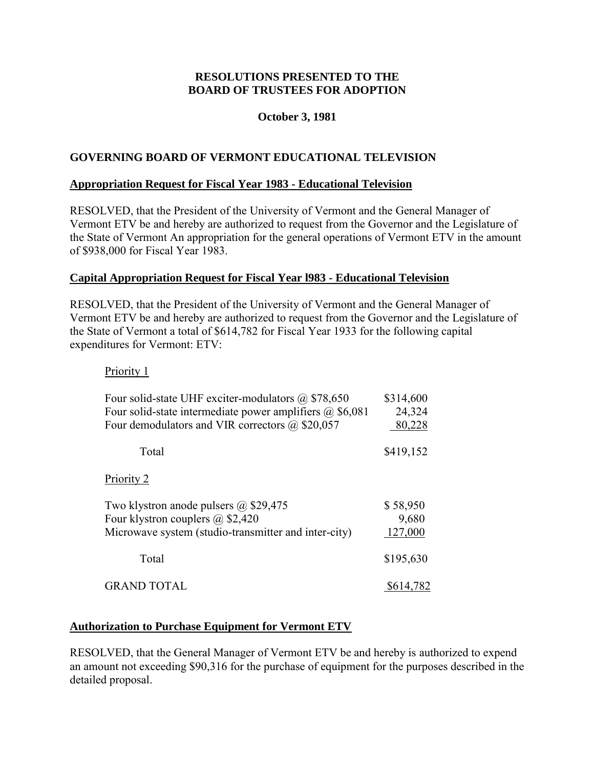## **October 3, 1981**

#### <span id="page-6-0"></span>**GOVERNING BOARD OF VERMONT EDUCATIONAL TELEVISION**

#### **Appropriation Request for Fiscal Year 1983 - Educational Television**

RESOLVED, that the President of the University of Vermont and the General Manager of Vermont ETV be and hereby are authorized to request from the Governor and the Legislature of the State of Vermont An appropriation for the general operations of Vermont ETV in the amount of \$938,000 for Fiscal Year 1983.

#### **Capital Appropriation Request for Fiscal Year l983 - Educational Television**

RESOLVED, that the President of the University of Vermont and the General Manager of Vermont ETV be and hereby are authorized to request from the Governor and the Legislature of the State of Vermont a total of \$614,782 for Fiscal Year 1933 for the following capital expenditures for Vermont: ETV:

#### Priority 1

| Four solid-state UHF exciter-modulators $(a)$ \$78,650          | \$314,600 |
|-----------------------------------------------------------------|-----------|
| Four solid-state intermediate power amplifiers $\omega$ \$6,081 | 24,324    |
| Four demodulators and VIR correctors $(a)$ \$20,057             | 80,228    |
| Total                                                           | \$419,152 |
| Priority 2                                                      |           |
| Two klystron anode pulsers $(a)$ \$29,475                       | \$58,950  |
| Four klystron couplers $\omega$ \$2,420                         | 9,680     |
| Microwave system (studio-transmitter and inter-city)            | 127,000   |
| Total                                                           | \$195,630 |
| <b>GRAND TOTAL</b>                                              | \$614,782 |

#### **Authorization to Purchase Equipment for Vermont ETV**

RESOLVED, that the General Manager of Vermont ETV be and hereby is authorized to expend an amount not exceeding \$90,316 for the purchase of equipment for the purposes described in the detailed proposal.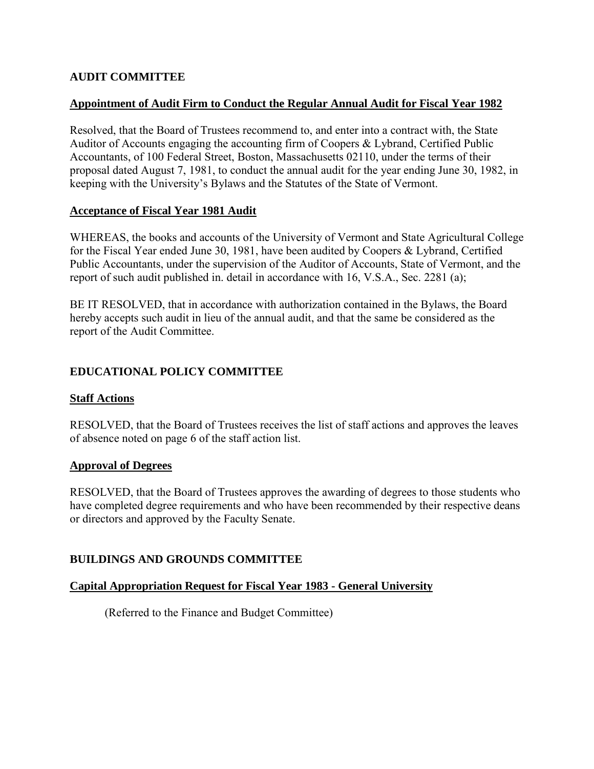# <span id="page-7-0"></span>**AUDIT COMMITTEE**

# **Appointment of Audit Firm to Conduct the Regular Annual Audit for Fiscal Year 1982**

Resolved, that the Board of Trustees recommend to, and enter into a contract with, the State Auditor of Accounts engaging the accounting firm of Coopers & Lybrand, Certified Public Accountants, of 100 Federal Street, Boston, Massachusetts 02110, under the terms of their proposal dated August 7, 1981, to conduct the annual audit for the year ending June 30, 1982, in keeping with the University's Bylaws and the Statutes of the State of Vermont.

## **Acceptance of Fiscal Year 1981 Audit**

WHEREAS, the books and accounts of the University of Vermont and State Agricultural College for the Fiscal Year ended June 30, 1981, have been audited by Coopers & Lybrand, Certified Public Accountants, under the supervision of the Auditor of Accounts, State of Vermont, and the report of such audit published in. detail in accordance with 16, V.S.A., Sec. 2281 (a);

BE IT RESOLVED, that in accordance with authorization contained in the Bylaws, the Board hereby accepts such audit in lieu of the annual audit, and that the same be considered as the report of the Audit Committee.

# **EDUCATIONAL POLICY COMMITTEE**

## **Staff Actions**

RESOLVED, that the Board of Trustees receives the list of staff actions and approves the leaves of absence noted on page 6 of the staff action list.

## **Approval of Degrees**

RESOLVED, that the Board of Trustees approves the awarding of degrees to those students who have completed degree requirements and who have been recommended by their respective deans or directors and approved by the Faculty Senate.

## **BUILDINGS AND GROUNDS COMMITTEE**

## **Capital Appropriation Request for Fiscal Year 1983 - General University**

(Referred to the Finance and Budget Committee)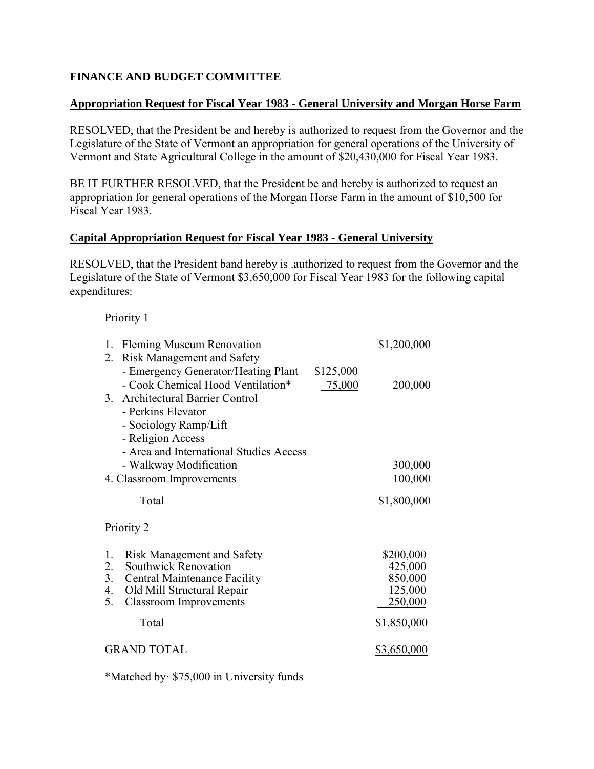# <span id="page-8-0"></span>**FINANCE AND BUDGET COMMITTEE**

#### **Appropriation Request for Fiscal Year 1983 - General University and Morgan Horse Farm**

RESOLVED, that the President be and hereby is authorized to request from the Governor and the Legislature of the State of Vermont an appropriation for general operations of the University of Vermont and State Agricultural College in the amount of \$20,430,000 for Fiscal Year 1983.

BE IT FURTHER RESOLVED, that the President be and hereby is authorized to request an appropriation for general operations of the Morgan Horse Farm in the amount of \$10,500 for Fiscal Year 1983.

#### **Capital Appropriation Request for Fiscal Year 1983 - General University**

RESOLVED, that the President band hereby is .authorized to request from the Governor and the Legislature of the State of Vermont \$3,650,000 for Fiscal Year 1983 for the following capital expenditures:

#### Priority 1

| 1.      | <b>Fleming Museum Renovation</b>        |           | \$1,200,000 |
|---------|-----------------------------------------|-----------|-------------|
| 2.      | <b>Risk Management and Safety</b>       |           |             |
|         | - Emergency Generator/Heating Plant     | \$125,000 |             |
|         | - Cook Chemical Hood Ventilation*       | 75,000    | 200,000     |
| $3_{-}$ | <b>Architectural Barrier Control</b>    |           |             |
|         | - Perkins Elevator                      |           |             |
|         | - Sociology Ramp/Lift                   |           |             |
|         | - Religion Access                       |           |             |
|         | - Area and International Studies Access |           |             |
|         | - Walkway Modification                  |           | 300,000     |
|         | 4. Classroom Improvements               |           | 100,000     |
|         | Total                                   |           | \$1,800,000 |
|         | <b>Priority 2</b>                       |           |             |
|         |                                         |           |             |
| 1.      | <b>Risk Management and Safety</b>       |           | \$200,000   |
| 2.      | Southwick Renovation                    |           | 425,000     |
| 3.      | <b>Central Maintenance Facility</b>     |           | 850,000     |
| 4.      | Old Mill Structural Repair              |           | 125,000     |
| 5.      | <b>Classroom Improvements</b>           |           | 250,000     |
|         | Total                                   |           | \$1,850,000 |
|         | <b>GRAND TOTAL</b>                      |           | \$3,650,000 |

\*Matched by· \$75,000 in University funds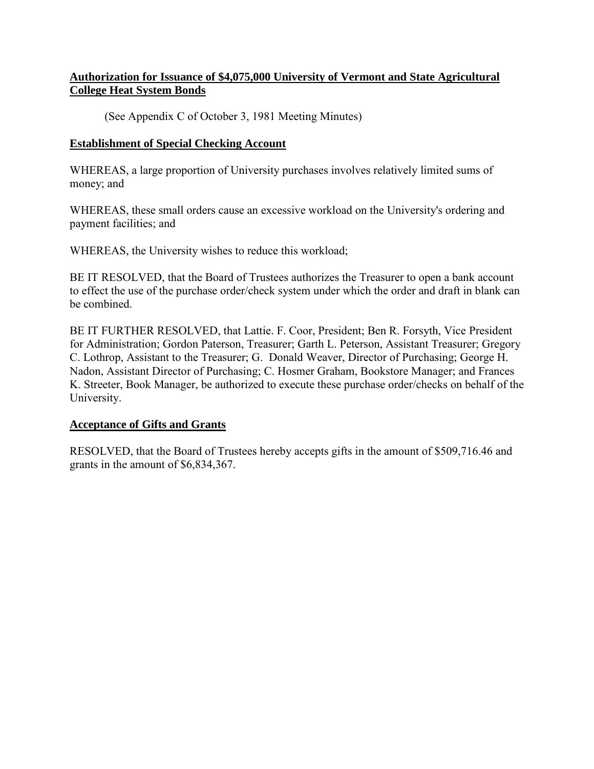# <span id="page-9-0"></span>**Authorization for Issuance of \$4,075,000 University of Vermont and State Agricultural College Heat System Bonds**

(See Appendix C of October 3, 1981 Meeting Minutes)

#### **Establishment of Special Checking Account**

WHEREAS, a large proportion of University purchases involves relatively limited sums of money; and

WHEREAS, these small orders cause an excessive workload on the University's ordering and payment facilities; and

WHEREAS, the University wishes to reduce this workload;

BE IT RESOLVED, that the Board of Trustees authorizes the Treasurer to open a bank account to effect the use of the purchase order/check system under which the order and draft in blank can be combined.

BE IT FURTHER RESOLVED, that Lattie. F. Coor, President; Ben R. Forsyth, Vice President for Administration; Gordon Paterson, Treasurer; Garth L. Peterson, Assistant Treasurer; Gregory C. Lothrop, Assistant to the Treasurer; G. Donald Weaver, Director of Purchasing; George H. Nadon, Assistant Director of Purchasing; C. Hosmer Graham, Bookstore Manager; and Frances K. Streeter, Book Manager, be authorized to execute these purchase order/checks on behalf of the University.

#### **Acceptance of Gifts and Grants**

RESOLVED, that the Board of Trustees hereby accepts gifts in the amount of \$509,716.46 and grants in the amount of \$6,834,367.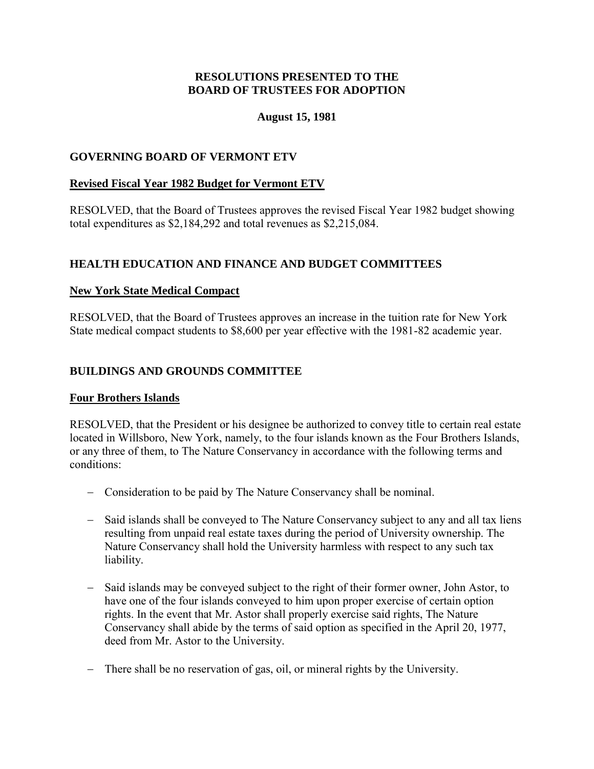#### **August 15, 1981**

#### <span id="page-10-0"></span>**GOVERNING BOARD OF VERMONT ETV**

#### **Revised Fiscal Year 1982 Budget for Vermont ETV**

RESOLVED, that the Board of Trustees approves the revised Fiscal Year 1982 budget showing total expenditures as \$2,184,292 and total revenues as \$2,215,084.

#### **HEALTH EDUCATION AND FINANCE AND BUDGET COMMITTEES**

#### **New York State Medical Compact**

RESOLVED, that the Board of Trustees approves an increase in the tuition rate for New York State medical compact students to \$8,600 per year effective with the 1981-82 academic year.

#### **BUILDINGS AND GROUNDS COMMITTEE**

#### **Four Brothers Islands**

RESOLVED, that the President or his designee be authorized to convey title to certain real estate located in Willsboro, New York, namely, to the four islands known as the Four Brothers Islands, or any three of them, to The Nature Conservancy in accordance with the following terms and conditions:

- Consideration to be paid by The Nature Conservancy shall be nominal.
- Said islands shall be conveyed to The Nature Conservancy subject to any and all tax liens resulting from unpaid real estate taxes during the period of University ownership. The Nature Conservancy shall hold the University harmless with respect to any such tax liability.
- Said islands may be conveyed subject to the right of their former owner, John Astor, to have one of the four islands conveyed to him upon proper exercise of certain option rights. In the event that Mr. Astor shall properly exercise said rights, The Nature Conservancy shall abide by the terms of said option as specified in the April 20, 1977, deed from Mr. Astor to the University.
- There shall be no reservation of gas, oil, or mineral rights by the University.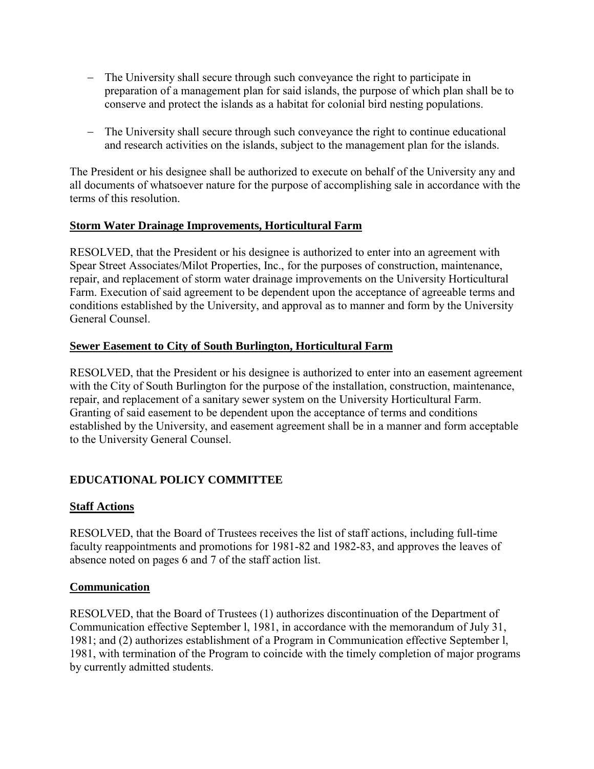- <span id="page-11-0"></span> The University shall secure through such conveyance the right to participate in preparation of a management plan for said islands, the purpose of which plan shall be to conserve and protect the islands as a habitat for colonial bird nesting populations.
- The University shall secure through such conveyance the right to continue educational and research activities on the islands, subject to the management plan for the islands.

The President or his designee shall be authorized to execute on behalf of the University any and all documents of whatsoever nature for the purpose of accomplishing sale in accordance with the terms of this resolution.

#### **Storm Water Drainage Improvements, Horticultural Farm**

RESOLVED, that the President or his designee is authorized to enter into an agreement with Spear Street Associates/Milot Properties, Inc., for the purposes of construction, maintenance, repair, and replacement of storm water drainage improvements on the University Horticultural Farm. Execution of said agreement to be dependent upon the acceptance of agreeable terms and conditions established by the University, and approval as to manner and form by the University General Counsel.

#### **Sewer Easement to City of South Burlington, Horticultural Farm**

RESOLVED, that the President or his designee is authorized to enter into an easement agreement with the City of South Burlington for the purpose of the installation, construction, maintenance, repair, and replacement of a sanitary sewer system on the University Horticultural Farm. Granting of said easement to be dependent upon the acceptance of terms and conditions established by the University, and easement agreement shall be in a manner and form acceptable to the University General Counsel.

# **EDUCATIONAL POLICY COMMITTEE**

## **Staff Actions**

RESOLVED, that the Board of Trustees receives the list of staff actions, including full-time faculty reappointments and promotions for 1981-82 and 1982-83, and approves the leaves of absence noted on pages 6 and 7 of the staff action list.

#### **Communication**

RESOLVED, that the Board of Trustees (1) authorizes discontinuation of the Department of Communication effective September l, 1981, in accordance with the memorandum of July 31, 1981; and (2) authorizes establishment of a Program in Communication effective September l, 1981, with termination of the Program to coincide with the timely completion of major programs by currently admitted students.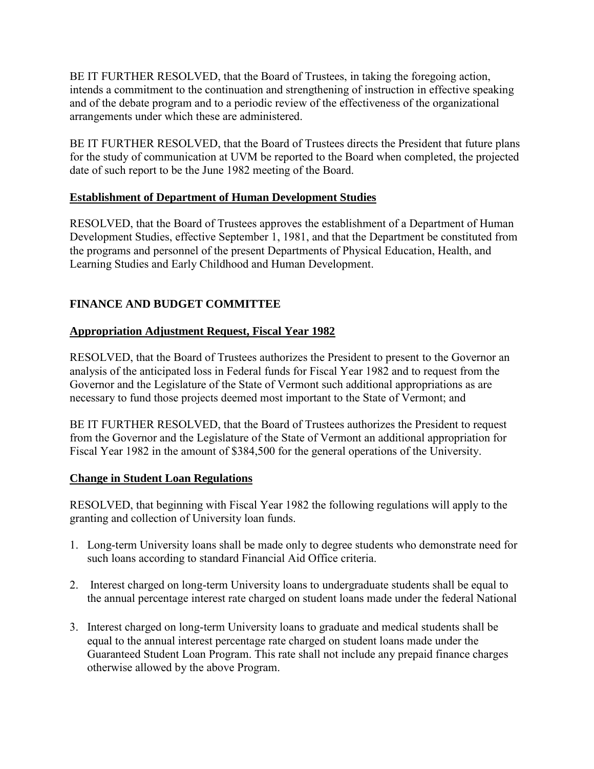<span id="page-12-0"></span>BE IT FURTHER RESOLVED, that the Board of Trustees, in taking the foregoing action, intends a commitment to the continuation and strengthening of instruction in effective speaking and of the debate program and to a periodic review of the effectiveness of the organizational arrangements under which these are administered.

BE IT FURTHER RESOLVED, that the Board of Trustees directs the President that future plans for the study of communication at UVM be reported to the Board when completed, the projected date of such report to be the June 1982 meeting of the Board.

# **Establishment of Department of Human Development Studies**

RESOLVED, that the Board of Trustees approves the establishment of a Department of Human Development Studies, effective September 1, 1981, and that the Department be constituted from the programs and personnel of the present Departments of Physical Education, Health, and Learning Studies and Early Childhood and Human Development.

# **FINANCE AND BUDGET COMMITTEE**

# **Appropriation Adjustment Request, Fiscal Year 1982**

RESOLVED, that the Board of Trustees authorizes the President to present to the Governor an analysis of the anticipated loss in Federal funds for Fiscal Year 1982 and to request from the Governor and the Legislature of the State of Vermont such additional appropriations as are necessary to fund those projects deemed most important to the State of Vermont; and

BE IT FURTHER RESOLVED, that the Board of Trustees authorizes the President to request from the Governor and the Legislature of the State of Vermont an additional appropriation for Fiscal Year 1982 in the amount of \$384,500 for the general operations of the University.

## **Change in Student Loan Regulations**

RESOLVED, that beginning with Fiscal Year 1982 the following regulations will apply to the granting and collection of University loan funds.

- 1. Long-term University loans shall be made only to degree students who demonstrate need for such loans according to standard Financial Aid Office criteria.
- 2. Interest charged on long-term University loans to undergraduate students shall be equal to the annual percentage interest rate charged on student loans made under the federal National
- 3. Interest charged on long-term University loans to graduate and medical students shall be equal to the annual interest percentage rate charged on student loans made under the Guaranteed Student Loan Program. This rate shall not include any prepaid finance charges otherwise allowed by the above Program.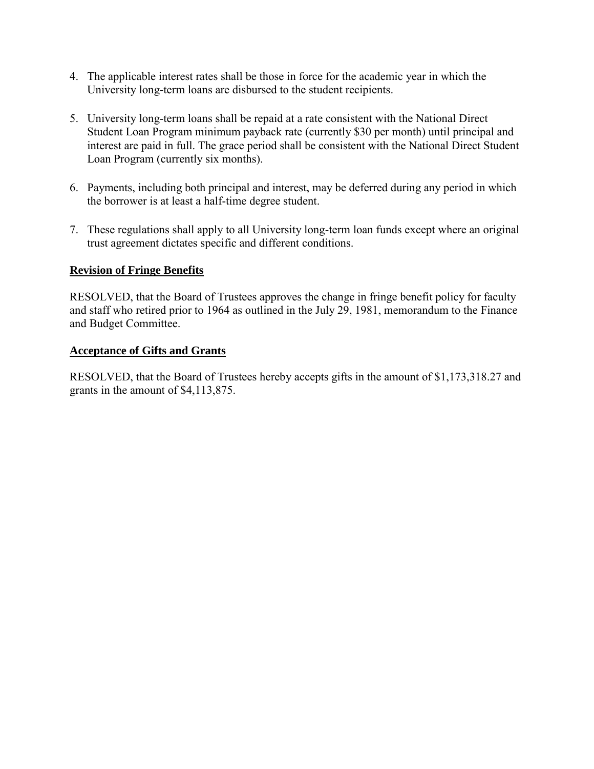- <span id="page-13-0"></span>4. The applicable interest rates shall be those in force for the academic year in which the University long-term loans are disbursed to the student recipients.
- 5. University long-term loans shall be repaid at a rate consistent with the National Direct Student Loan Program minimum payback rate (currently \$30 per month) until principal and interest are paid in full. The grace period shall be consistent with the National Direct Student Loan Program (currently six months).
- 6. Payments, including both principal and interest, may be deferred during any period in which the borrower is at least a half-time degree student.
- 7. These regulations shall apply to all University long-term loan funds except where an original trust agreement dictates specific and different conditions.

#### **Revision of Fringe Benefits**

RESOLVED, that the Board of Trustees approves the change in fringe benefit policy for faculty and staff who retired prior to 1964 as outlined in the July 29, 1981, memorandum to the Finance and Budget Committee.

#### **Acceptance of Gifts and Grants**

RESOLVED, that the Board of Trustees hereby accepts gifts in the amount of \$1,173,318.27 and grants in the amount of \$4,113,875.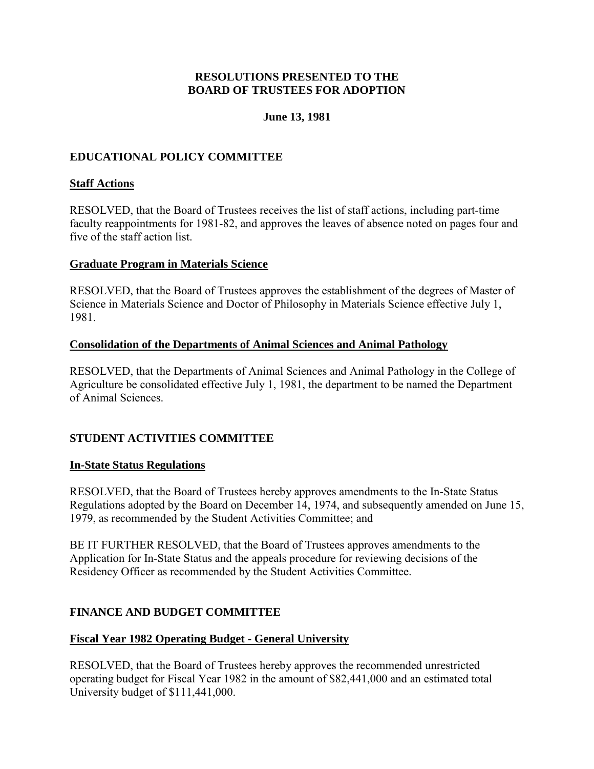## **June 13, 1981**

# <span id="page-14-0"></span>**EDUCATIONAL POLICY COMMITTEE**

#### **Staff Actions**

RESOLVED, that the Board of Trustees receives the list of staff actions, including part-time faculty reappointments for 1981-82, and approves the leaves of absence noted on pages four and five of the staff action list.

#### **Graduate Program in Materials Science**

RESOLVED, that the Board of Trustees approves the establishment of the degrees of Master of Science in Materials Science and Doctor of Philosophy in Materials Science effective July 1, 1981.

#### **Consolidation of the Departments of Animal Sciences and Animal Pathology**

RESOLVED, that the Departments of Animal Sciences and Animal Pathology in the College of Agriculture be consolidated effective July 1, 1981, the department to be named the Department of Animal Sciences.

## **STUDENT ACTIVITIES COMMITTEE**

#### **In-State Status Regulations**

RESOLVED, that the Board of Trustees hereby approves amendments to the In-State Status Regulations adopted by the Board on December 14, 1974, and subsequently amended on June 15, 1979, as recommended by the Student Activities Committee; and

BE IT FURTHER RESOLVED, that the Board of Trustees approves amendments to the Application for In-State Status and the appeals procedure for reviewing decisions of the Residency Officer as recommended by the Student Activities Committee.

## **FINANCE AND BUDGET COMMITTEE**

## **Fiscal Year 1982 Operating Budget - General University**

RESOLVED, that the Board of Trustees hereby approves the recommended unrestricted operating budget for Fiscal Year 1982 in the amount of \$82,441,000 and an estimated total University budget of \$111,441,000.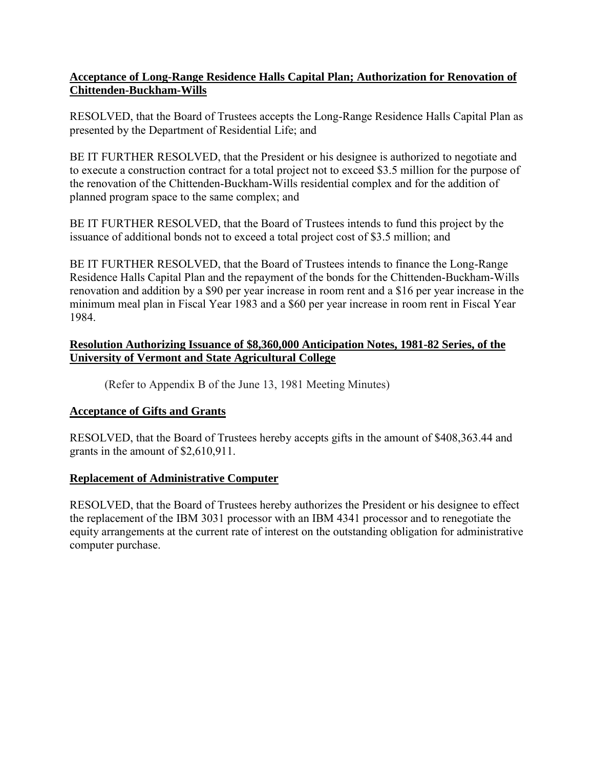## <span id="page-15-0"></span>**Acceptance of Long-Range Residence Halls Capital Plan; Authorization for Renovation of Chittenden-Buckham-Wills**

RESOLVED, that the Board of Trustees accepts the Long-Range Residence Halls Capital Plan as presented by the Department of Residential Life; and

BE IT FURTHER RESOLVED, that the President or his designee is authorized to negotiate and to execute a construction contract for a total project not to exceed \$3.5 million for the purpose of the renovation of the Chittenden-Buckham-Wills residential complex and for the addition of planned program space to the same complex; and

BE IT FURTHER RESOLVED, that the Board of Trustees intends to fund this project by the issuance of additional bonds not to exceed a total project cost of \$3.5 million; and

BE IT FURTHER RESOLVED, that the Board of Trustees intends to finance the Long-Range Residence Halls Capital Plan and the repayment of the bonds for the Chittenden-Buckham-Wills renovation and addition by a \$90 per year increase in room rent and a \$16 per year increase in the minimum meal plan in Fiscal Year 1983 and a \$60 per year increase in room rent in Fiscal Year 1984.

## **Resolution Authorizing Issuance of \$8,360,000 Anticipation Notes, 1981-82 Series, of the University of Vermont and State Agricultural College**

(Refer to Appendix B of the June 13, 1981 Meeting Minutes)

# **Acceptance of Gifts and Grants**

RESOLVED, that the Board of Trustees hereby accepts gifts in the amount of \$408,363.44 and grants in the amount of \$2,610,911.

# **Replacement of Administrative Computer**

RESOLVED, that the Board of Trustees hereby authorizes the President or his designee to effect the replacement of the IBM 3031 processor with an IBM 4341 processor and to renegotiate the equity arrangements at the current rate of interest on the outstanding obligation for administrative computer purchase.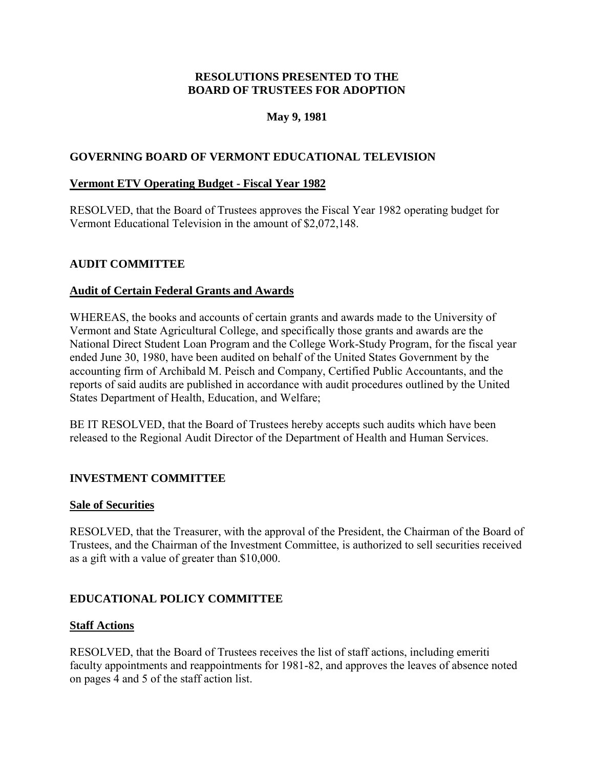# **May 9, 1981**

# <span id="page-16-0"></span>**GOVERNING BOARD OF VERMONT EDUCATIONAL TELEVISION**

#### **Vermont ETV Operating Budget - Fiscal Year 1982**

RESOLVED, that the Board of Trustees approves the Fiscal Year 1982 operating budget for Vermont Educational Television in the amount of \$2,072,148.

#### **AUDIT COMMITTEE**

#### **Audit of Certain Federal Grants and Awards**

WHEREAS, the books and accounts of certain grants and awards made to the University of Vermont and State Agricultural College, and specifically those grants and awards are the National Direct Student Loan Program and the College Work-Study Program, for the fiscal year ended June 30, 1980, have been audited on behalf of the United States Government by the accounting firm of Archibald M. Peisch and Company, Certified Public Accountants, and the reports of said audits are published in accordance with audit procedures outlined by the United States Department of Health, Education, and Welfare;

BE IT RESOLVED, that the Board of Trustees hereby accepts such audits which have been released to the Regional Audit Director of the Department of Health and Human Services.

## **INVESTMENT COMMITTEE**

#### **Sale of Securities**

RESOLVED, that the Treasurer, with the approval of the President, the Chairman of the Board of Trustees, and the Chairman of the Investment Committee, is authorized to sell securities received as a gift with a value of greater than \$10,000.

## **EDUCATIONAL POLICY COMMITTEE**

#### **Staff Actions**

RESOLVED, that the Board of Trustees receives the list of staff actions, including emeriti faculty appointments and reappointments for 1981-82, and approves the leaves of absence noted on pages 4 and 5 of the staff action list.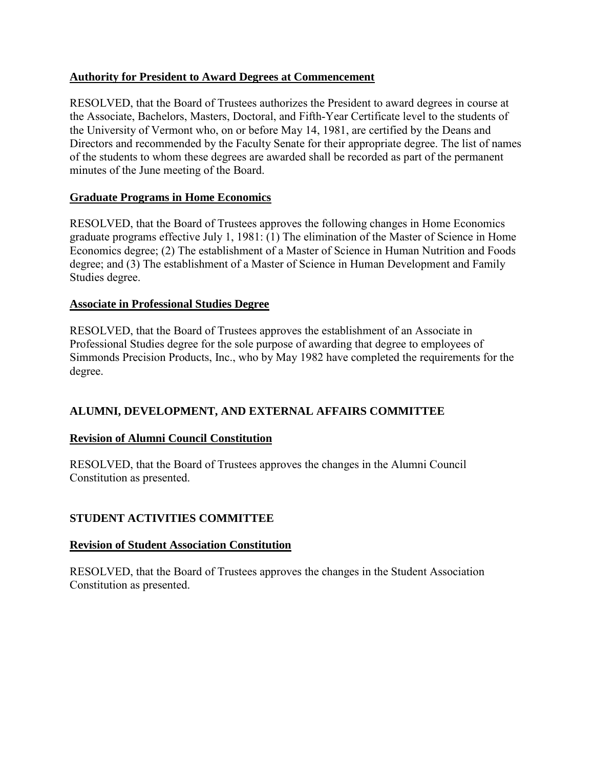# <span id="page-17-0"></span>**Authority for President to Award Degrees at Commencement**

RESOLVED, that the Board of Trustees authorizes the President to award degrees in course at the Associate, Bachelors, Masters, Doctoral, and Fifth-Year Certificate level to the students of the University of Vermont who, on or before May 14, 1981, are certified by the Deans and Directors and recommended by the Faculty Senate for their appropriate degree. The list of names of the students to whom these degrees are awarded shall be recorded as part of the permanent minutes of the June meeting of the Board.

# **Graduate Programs in Home Economics**

RESOLVED, that the Board of Trustees approves the following changes in Home Economics graduate programs effective July 1, 1981: (1) The elimination of the Master of Science in Home Economics degree; (2) The establishment of a Master of Science in Human Nutrition and Foods degree; and (3) The establishment of a Master of Science in Human Development and Family Studies degree.

## **Associate in Professional Studies Degree**

RESOLVED, that the Board of Trustees approves the establishment of an Associate in Professional Studies degree for the sole purpose of awarding that degree to employees of Simmonds Precision Products, Inc., who by May 1982 have completed the requirements for the degree.

# **ALUMNI, DEVELOPMENT, AND EXTERNAL AFFAIRS COMMITTEE**

# **Revision of Alumni Council Constitution**

RESOLVED, that the Board of Trustees approves the changes in the Alumni Council Constitution as presented.

# **STUDENT ACTIVITIES COMMITTEE**

## **Revision of Student Association Constitution**

RESOLVED, that the Board of Trustees approves the changes in the Student Association Constitution as presented.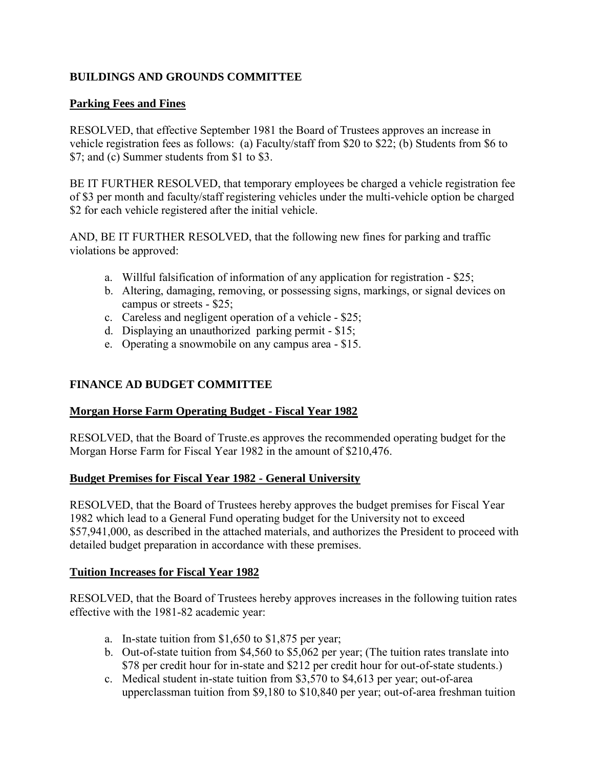# <span id="page-18-0"></span>**BUILDINGS AND GROUNDS COMMITTEE**

# **Parking Fees and Fines**

RESOLVED, that effective September 1981 the Board of Trustees approves an increase in vehicle registration fees as follows: (a) Faculty/staff from \$20 to \$22; (b) Students from \$6 to \$7; and (c) Summer students from \$1 to \$3.

BE IT FURTHER RESOLVED, that temporary employees be charged a vehicle registration fee of \$3 per month and faculty/staff registering vehicles under the multi-vehicle option be charged \$2 for each vehicle registered after the initial vehicle.

AND, BE IT FURTHER RESOLVED, that the following new fines for parking and traffic violations be approved:

- a. Willful falsification of information of any application for registration \$25;
- b. Altering, damaging, removing, or possessing signs, markings, or signal devices on campus or streets - \$25;
- c. Careless and negligent operation of a vehicle \$25;
- d. Displaying an unauthorized parking permit \$15;
- e. Operating a snowmobile on any campus area \$15.

# **FINANCE AD BUDGET COMMITTEE**

## **Morgan Horse Farm Operating Budget - Fiscal Year 1982**

RESOLVED, that the Board of Truste.es approves the recommended operating budget for the Morgan Horse Farm for Fiscal Year 1982 in the amount of \$210,476.

## **Budget Premises for Fiscal Year 1982 - General University**

RESOLVED, that the Board of Trustees hereby approves the budget premises for Fiscal Year 1982 which lead to a General Fund operating budget for the University not to exceed \$57,941,000, as described in the attached materials, and authorizes the President to proceed with detailed budget preparation in accordance with these premises.

## **Tuition Increases for Fiscal Year 1982**

RESOLVED, that the Board of Trustees hereby approves increases in the following tuition rates effective with the 1981-82 academic year:

- a. In-state tuition from \$1,650 to \$1,875 per year;
- b. Out-of-state tuition from \$4,560 to \$5,062 per year; (The tuition rates translate into \$78 per credit hour for in-state and \$212 per credit hour for out-of-state students.)
- c. Medical student in-state tuition from \$3,570 to \$4,613 per year; out-of-area upperclassman tuition from \$9,180 to \$10,840 per year; out-of-area freshman tuition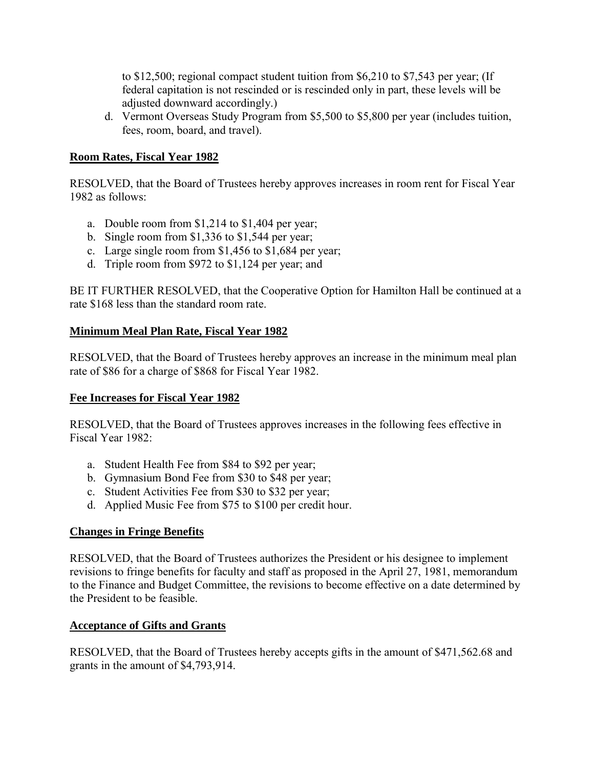<span id="page-19-0"></span>to \$12,500; regional compact student tuition from \$6,210 to \$7,543 per year; (If federal capitation is not rescinded or is rescinded only in part, these levels will be adjusted downward accordingly.)

d. Vermont Overseas Study Program from \$5,500 to \$5,800 per year (includes tuition, fees, room, board, and travel).

# **Room Rates, Fiscal Year 1982**

RESOLVED, that the Board of Trustees hereby approves increases in room rent for Fiscal Year 1982 as follows:

- a. Double room from \$1,214 to \$1,404 per year;
- b. Single room from \$1,336 to \$1,544 per year;
- c. Large single room from \$1,456 to \$1,684 per year;
- d. Triple room from \$972 to \$1,124 per year; and

BE IT FURTHER RESOLVED, that the Cooperative Option for Hamilton Hall be continued at a rate \$168 less than the standard room rate.

# **Minimum Meal Plan Rate, Fiscal Year 1982**

RESOLVED, that the Board of Trustees hereby approves an increase in the minimum meal plan rate of \$86 for a charge of \$868 for Fiscal Year 1982.

## **Fee Increases for Fiscal Year 1982**

RESOLVED, that the Board of Trustees approves increases in the following fees effective in Fiscal Year 1982:

- a. Student Health Fee from \$84 to \$92 per year;
- b. Gymnasium Bond Fee from \$30 to \$48 per year;
- c. Student Activities Fee from \$30 to \$32 per year;
- d. Applied Music Fee from \$75 to \$100 per credit hour.

## **Changes in Fringe Benefits**

RESOLVED, that the Board of Trustees authorizes the President or his designee to implement revisions to fringe benefits for faculty and staff as proposed in the April 27, 1981, memorandum to the Finance and Budget Committee, the revisions to become effective on a date determined by the President to be feasible.

# **Acceptance of Gifts and Grants**

RESOLVED, that the Board of Trustees hereby accepts gifts in the amount of \$471,562.68 and grants in the amount of \$4,793,914.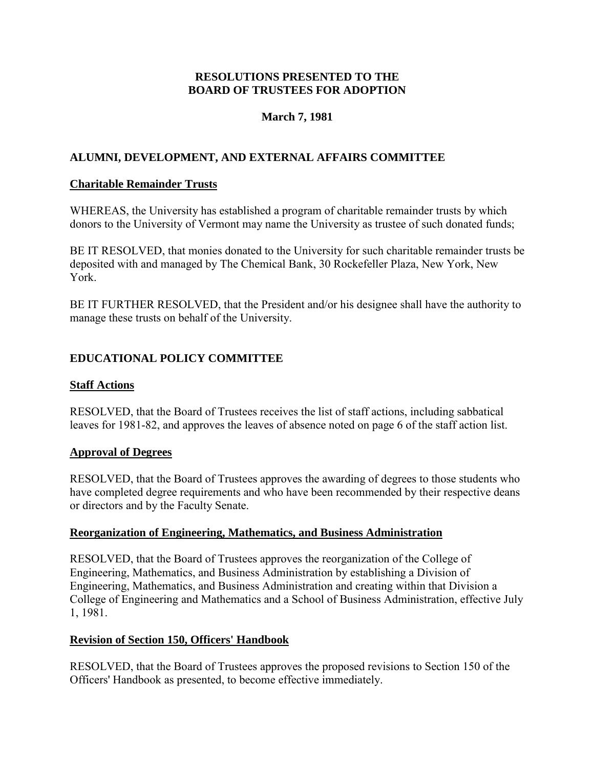# **March 7, 1981**

# <span id="page-20-0"></span>**ALUMNI, DEVELOPMENT, AND EXTERNAL AFFAIRS COMMITTEE**

# **Charitable Remainder Trusts**

WHEREAS, the University has established a program of charitable remainder trusts by which donors to the University of Vermont may name the University as trustee of such donated funds;

BE IT RESOLVED, that monies donated to the University for such charitable remainder trusts be deposited with and managed by The Chemical Bank, 30 Rockefeller Plaza, New York, New York.

BE IT FURTHER RESOLVED, that the President and/or his designee shall have the authority to manage these trusts on behalf of the University.

# **EDUCATIONAL POLICY COMMITTEE**

# **Staff Actions**

RESOLVED, that the Board of Trustees receives the list of staff actions, including sabbatical leaves for 1981-82, and approves the leaves of absence noted on page 6 of the staff action list.

# **Approval of Degrees**

RESOLVED, that the Board of Trustees approves the awarding of degrees to those students who have completed degree requirements and who have been recommended by their respective deans or directors and by the Faculty Senate.

## **Reorganization of Engineering, Mathematics, and Business Administration**

RESOLVED, that the Board of Trustees approves the reorganization of the College of Engineering, Mathematics, and Business Administration by establishing a Division of Engineering, Mathematics, and Business Administration and creating within that Division a College of Engineering and Mathematics and a School of Business Administration, effective July 1, 1981.

## **Revision of Section 150, Officers' Handbook**

RESOLVED, that the Board of Trustees approves the proposed revisions to Section 150 of the Officers' Handbook as presented, to become effective immediately.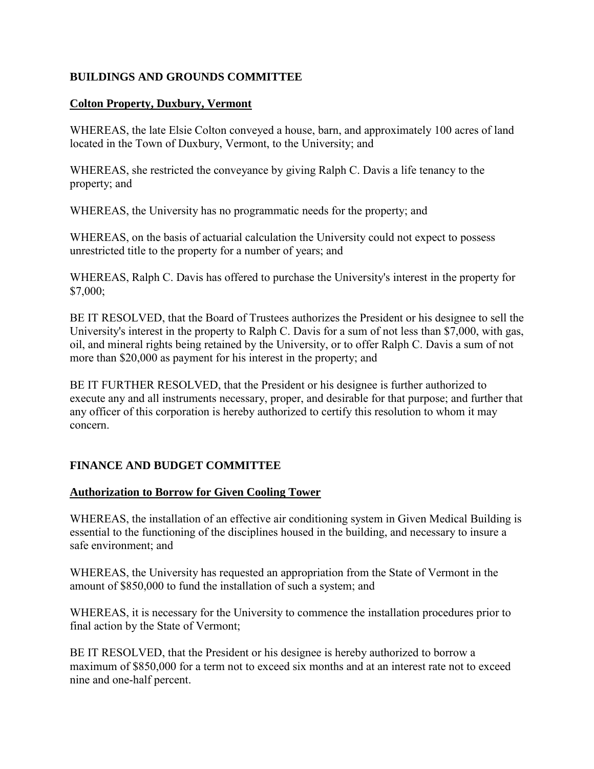# <span id="page-21-0"></span>**BUILDINGS AND GROUNDS COMMITTEE**

#### **Colton Property, Duxbury, Vermont**

WHEREAS, the late Elsie Colton conveyed a house, barn, and approximately 100 acres of land located in the Town of Duxbury, Vermont, to the University; and

WHEREAS, she restricted the conveyance by giving Ralph C. Davis a life tenancy to the property; and

WHEREAS, the University has no programmatic needs for the property; and

WHEREAS, on the basis of actuarial calculation the University could not expect to possess unrestricted title to the property for a number of years; and

WHEREAS, Ralph C. Davis has offered to purchase the University's interest in the property for \$7,000;

BE IT RESOLVED, that the Board of Trustees authorizes the President or his designee to sell the University's interest in the property to Ralph C. Davis for a sum of not less than \$7,000, with gas, oil, and mineral rights being retained by the University, or to offer Ralph C. Davis a sum of not more than \$20,000 as payment for his interest in the property; and

BE IT FURTHER RESOLVED, that the President or his designee is further authorized to execute any and all instruments necessary, proper, and desirable for that purpose; and further that any officer of this corporation is hereby authorized to certify this resolution to whom it may concern.

# **FINANCE AND BUDGET COMMITTEE**

## **Authorization to Borrow for Given Cooling Tower**

WHEREAS, the installation of an effective air conditioning system in Given Medical Building is essential to the functioning of the disciplines housed in the building, and necessary to insure a safe environment; and

WHEREAS, the University has requested an appropriation from the State of Vermont in the amount of \$850,000 to fund the installation of such a system; and

WHEREAS, it is necessary for the University to commence the installation procedures prior to final action by the State of Vermont;

BE IT RESOLVED, that the President or his designee is hereby authorized to borrow a maximum of \$850,000 for a term not to exceed six months and at an interest rate not to exceed nine and one-half percent.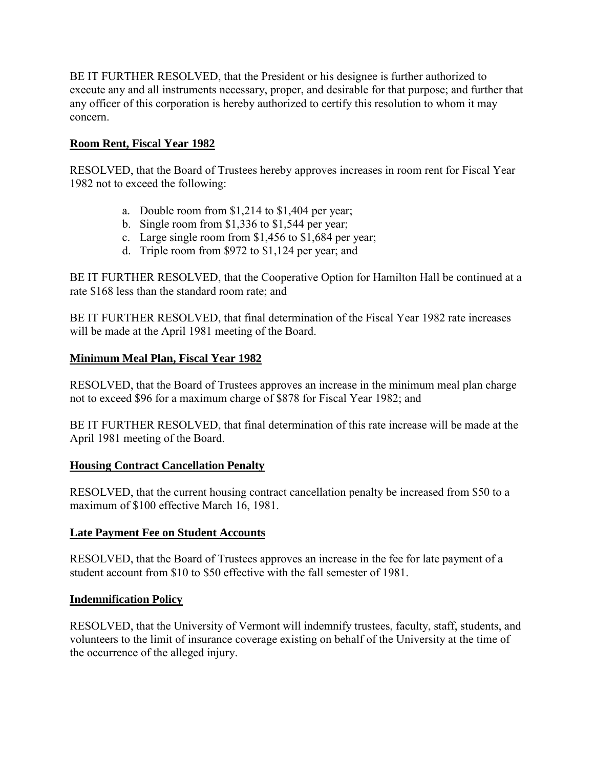<span id="page-22-0"></span>BE IT FURTHER RESOLVED, that the President or his designee is further authorized to execute any and all instruments necessary, proper, and desirable for that purpose; and further that any officer of this corporation is hereby authorized to certify this resolution to whom it may concern.

# **Room Rent, Fiscal Year 1982**

RESOLVED, that the Board of Trustees hereby approves increases in room rent for Fiscal Year 1982 not to exceed the following:

- a. Double room from \$1,214 to \$1,404 per year;
- b. Single room from \$1,336 to \$1,544 per year;
- c. Large single room from \$1,456 to \$1,684 per year;
- d. Triple room from \$972 to \$1,124 per year; and

BE IT FURTHER RESOLVED, that the Cooperative Option for Hamilton Hall be continued at a rate \$168 less than the standard room rate; and

BE IT FURTHER RESOLVED, that final determination of the Fiscal Year 1982 rate increases will be made at the April 1981 meeting of the Board.

## **Minimum Meal Plan, Fiscal Year 1982**

RESOLVED, that the Board of Trustees approves an increase in the minimum meal plan charge not to exceed \$96 for a maximum charge of \$878 for Fiscal Year 1982; and

BE IT FURTHER RESOLVED, that final determination of this rate increase will be made at the April 1981 meeting of the Board.

## **Housing Contract Cancellation Penalty**

RESOLVED, that the current housing contract cancellation penalty be increased from \$50 to a maximum of \$100 effective March 16, 1981.

## **Late Payment Fee on Student Accounts**

RESOLVED, that the Board of Trustees approves an increase in the fee for late payment of a student account from \$10 to \$50 effective with the fall semester of 1981.

## **Indemnification Policy**

RESOLVED, that the University of Vermont will indemnify trustees, faculty, staff, students, and volunteers to the limit of insurance coverage existing on behalf of the University at the time of the occurrence of the alleged injury.